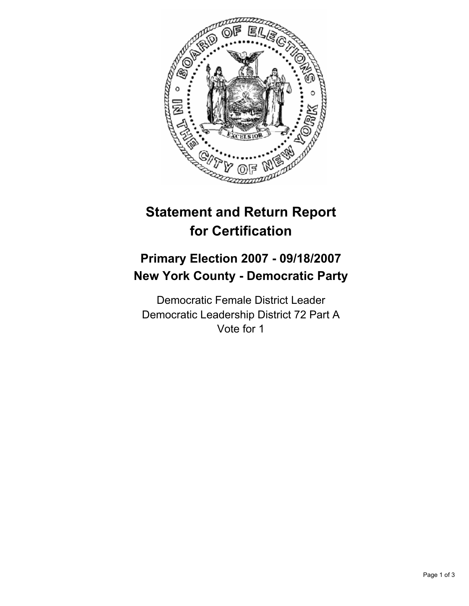

# **Statement and Return Report for Certification**

## **Primary Election 2007 - 09/18/2007 New York County - Democratic Party**

Democratic Female District Leader Democratic Leadership District 72 Part A Vote for 1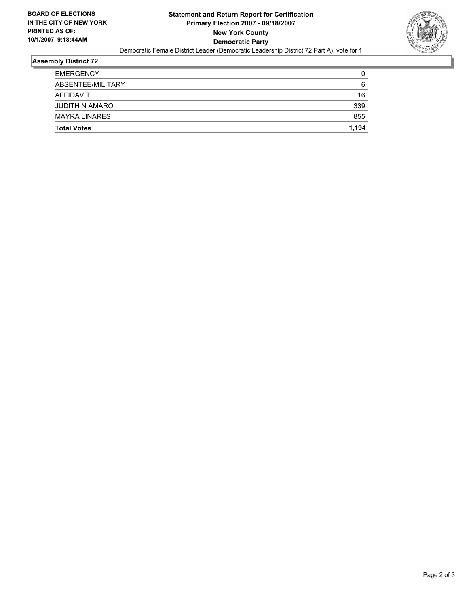

## **Assembly District 72**

| <b>Total Votes</b>   | 1,194 |
|----------------------|-------|
| <b>MAYRA LINARES</b> | 855   |
| JUDITH N AMARO       | 339   |
| AFFIDAVIT            | 16    |
| ABSENTEE/MILITARY    | 6     |
| <b>EMERGENCY</b>     |       |